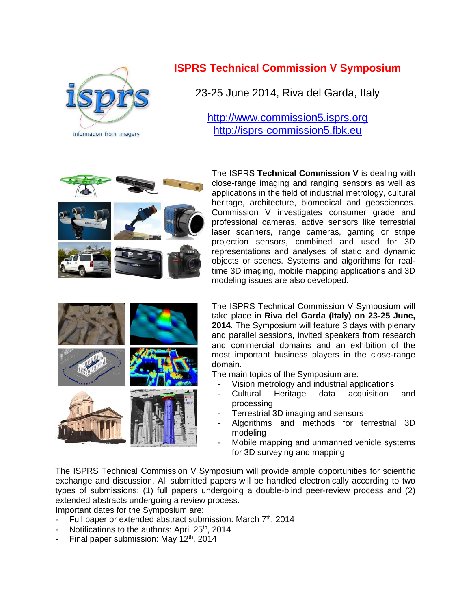

## **ISPRS Technical Commission V Symposium**

23-25 June 2014, Riva del Garda, Italy

[http://www.commission5.isprs.org](http://www.commission5.isprs.org/) [http://isprs-commission5.fbk.eu](http://isprs-commission5.fbk.eu/)



The ISPRS **Technical Commission V** is dealing with close-range imaging and ranging sensors as well as applications in the field of industrial metrology, cultural heritage, architecture, biomedical and geosciences. Commission V investigates consumer grade and professional cameras, active sensors like terrestrial laser scanners, range cameras, gaming or stripe projection sensors, combined and used for 3D representations and analyses of static and dynamic objects or scenes. Systems and algorithms for realtime 3D imaging, mobile mapping applications and 3D modeling issues are also developed.



The ISPRS Technical Commission V Symposium will take place in **Riva del Garda (Italy) on 23-25 June, 2014**. The Symposium will feature 3 days with plenary and parallel sessions, invited speakers from research and commercial domains and an exhibition of the most important business players in the close-range domain.

The main topics of the Symposium are:

- Vision metrology and industrial applications
- Cultural Heritage data acquisition and processing
- Terrestrial 3D imaging and sensors
- Algorithms and methods for terrestrial 3D modeling
- Mobile mapping and unmanned vehicle systems for 3D surveying and mapping

The ISPRS Technical Commission V Symposium will provide ample opportunities for scientific exchange and discussion. All submitted papers will be handled electronically according to two types of submissions: (1) full papers undergoing a double-blind peer-review process and (2) extended abstracts undergoing a review process.

Important dates for the Symposium are:

- Full paper or extended abstract submission: March 7<sup>th</sup>, 2014
- Notifications to the authors: April 25<sup>th</sup>, 2014
- Final paper submission: May 12<sup>th</sup>, 2014